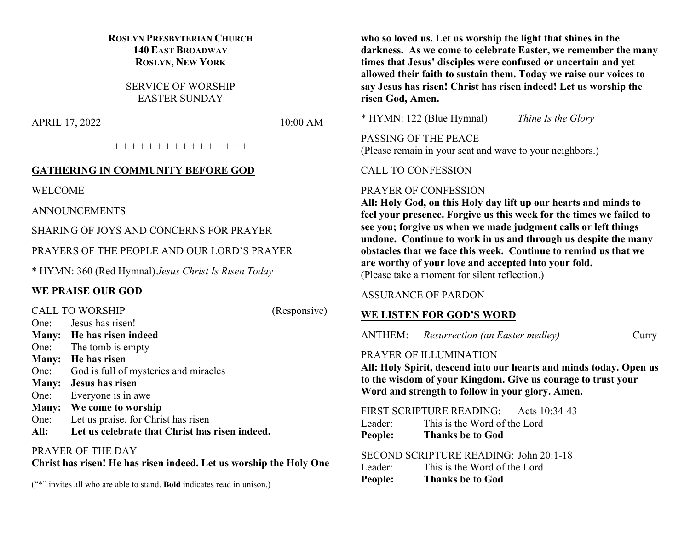# **ROSLYN PRESBYTERIAN CHURCH 140 EAST BROADWAY ROSLYN, NEW YORK**

SERVICE OF WORSHIP EASTER SUNDAY

APRIL 17, 2022 10:00 AM

+ + + + + + + + + + + + + + + +

#### **GATHERING IN COMMUNITY BEFORE GOD**

WELCOME

ANNOUNCEMENTS

SHARING OF JOYS AND CONCERNS FOR PRAYER

PRAYERS OF THE PEOPLE AND OUR LORD'S PRAYER

\* HYMN: 360 (Red Hymnal) *Jesus Christ Is Risen Today*

### **WE PRAISE OUR GOD**

|      | <b>CALL TO WORSHIP</b>                         | (Responsive) |
|------|------------------------------------------------|--------------|
|      | One: Jesus has risen!                          |              |
|      | Many: He has risen indeed                      |              |
|      | One: The tomb is empty                         |              |
|      | Many: He has risen                             |              |
|      | One: God is full of mysteries and miracles     |              |
|      | Many: Jesus has risen                          |              |
|      | One: Everyone is in awe                        |              |
|      | Many: We come to worship                       |              |
| One: | Let us praise, for Christ has risen            |              |
| All: | Let us celebrate that Christ has risen indeed. |              |
|      |                                                |              |

PRAYER OF THE DAY

**Christ has risen! He has risen indeed. Let us worship the Holy One** 

("\*" invites all who are able to stand. **Bold** indicates read in unison.)

**who so loved us. Let us worship the light that shines in the darkness. As we come to celebrate Easter, we remember the many times that Jesus' disciples were confused or uncertain and yet allowed their faith to sustain them. Today we raise our voices to say Jesus has risen! Christ has risen indeed! Let us worship the risen God, Amen.**

\* HYMN: 122 (Blue Hymnal) *Thine Is the Glory*

PASSING OF THE PEACE (Please remain in your seat and wave to your neighbors.)

CALL TO CONFESSION

#### PRAYER OF CONFESSION

**All: Holy God, on this Holy day lift up our hearts and minds to feel your presence. Forgive us this week for the times we failed to see you; forgive us when we made judgment calls or left things undone. Continue to work in us and through us despite the many obstacles that we face this week. Continue to remind us that we are worthy of your love and accepted into your fold.** (Please take a moment for silent reflection.)

#### ASSURANCE OF PARDON

### **WE LISTEN FOR GOD'S WORD**

ANTHEM: *Resurrection (an Easter medley)* Curry

#### PRAYER OF ILLUMINATION

**All: Holy Spirit, descend into our hearts and minds today. Open us to the wisdom of your Kingdom. Give us courage to trust your Word and strength to follow in your glory. Amen.**

FIRST SCRIPTURE READING: Acts 10:34-43

| Leader: | This is the Word of the Lord |
|---------|------------------------------|
| People: | <b>Thanks be to God</b>      |

# SECOND SCRIPTURE READING: John 20:1-18

| Leader: | This is the Word of the Lord |
|---------|------------------------------|
| People: | <b>Thanks be to God</b>      |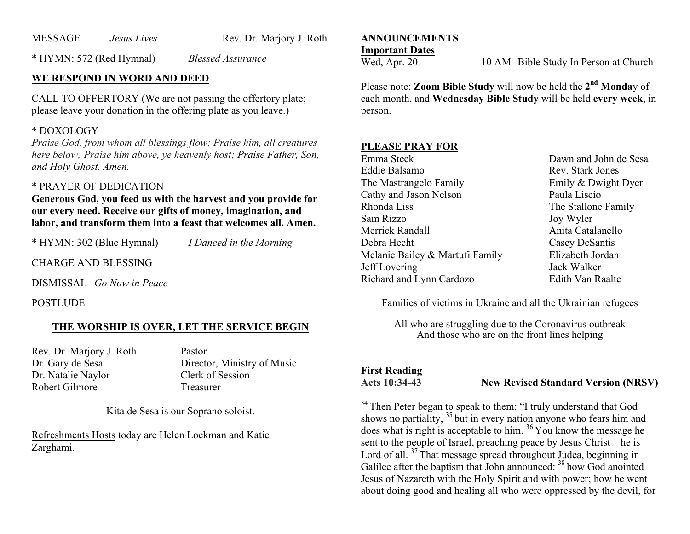MESSAGE *Jesus Lives* Rev. Dr. Marjory J. Roth

\* HYMN: 572 (Red Hymnal) *Blessed Assurance*

# **WE RESPOND IN WORD AND DEED**

CALL TO OFFERTORY (We are not passing the offertory plate; please leave your donation in the offering plate as you leave.)

## \* DOXOLOGY

*Praise God, from whom all blessings flow; Praise him, all creatures here below; Praise him above, ye heavenly host; Praise Father, Son, and Holy Ghost. Amen.*

# \* PRAYER OF DEDICATION

**Generous God, you feed us with the harvest and you provide for our every need. Receive our gifts of money, imagination, and labor, and transform them into a feast that welcomes all. Amen.**

\* HYMN: 302 (Blue Hymnal) *I Danced in the Morning*

CHARGE AND BLESSING

DISMISSAL *Go Now in Peace*

POSTLUDE

### **THE WORSHIP IS OVER, LET THE SERVICE BEGIN**

Rev. Dr. Marjory J. Roth Pastor Dr. Natalie Naylor Clerk of Session Robert Gilmore Treasurer

Dr. Gary de Sesa Director, Ministry of Music

Kita de Sesa is our Soprano soloist.

Refreshments Hosts today are Helen Lockman and Katie Zarghami.

#### **ANNOUNCEMENTS Important Dates**

Wed, Apr. 20 10 AM Bible Study In Person at Church

Please note: **Zoom Bible Study** will now be held the **2nd Monda**y of each month, and **Wednesday Bible Study** will be held **every week**, in person.

# **PLEASE PRAY FOR**

| Emma Steck                      | Dawn and John de Sesa |
|---------------------------------|-----------------------|
| Eddie Balsamo                   | Rev. Stark Jones      |
| The Mastrangelo Family          | Emily & Dwight Dyer   |
| Cathy and Jason Nelson          | Paula Liscio          |
| Rhonda Liss                     | The Stallone Family   |
| Sam Rizzo                       | Joy Wyler             |
| Merrick Randall                 | Anita Catalanello     |
| Debra Hecht                     | Casey DeSantis        |
| Melanie Bailey & Martufi Family | Elizabeth Jordan      |
| Jeff Lovering                   | Jack Walker           |
| Richard and Lynn Cardozo        | Edith Van Raalte      |

Families of victims in Ukraine and all the Ukrainian refugees

All who are struggling due to the Coronavirus outbreak And those who are on the front lines helping

# **First Reading**

**Acts 10:34-43 New Revised Standard Version (NRSV)**

<sup>34</sup> Then Peter began to speak to them: "I truly understand that God shows no partiality, <sup>35</sup> but in every nation anyone who fears him and does what is right is acceptable to him. <sup>36</sup> You know the message he sent to the people of Israel, preaching peace by Jesus Christ—he is Lord of all.<sup>37</sup> That message spread throughout Judea, beginning in Galilee after the baptism that John announced: <sup>38</sup> how God anointed Jesus of Nazareth with the Holy Spirit and with power; how he went about doing good and healing all who were oppressed by the devil, for